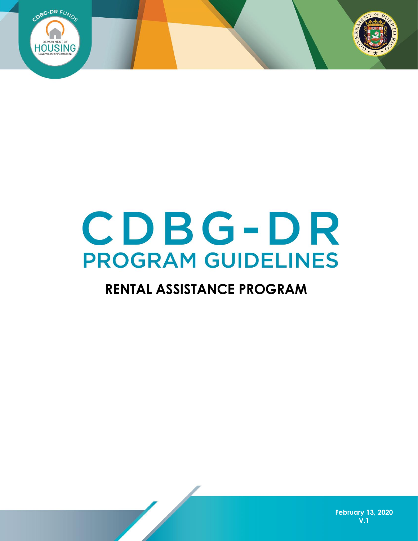



# CDBG-DR **PROGRAM GUIDELINES**

## **RENTAL ASSISTANCE PROGRAM**

**February 13, 2020 V.1**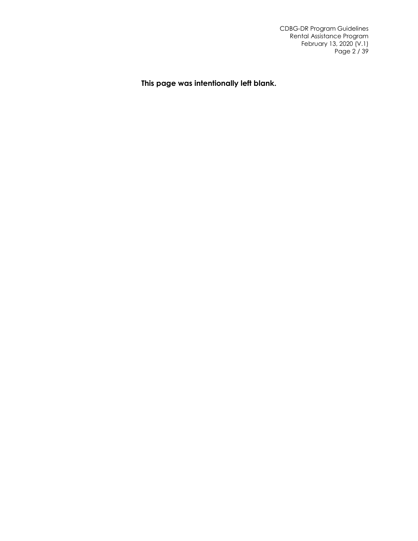CDBG-DR Program Guidelines Rental Assistance Program February 13, 2020 (V.1) Page 2 / 39

**This page was intentionally left blank.**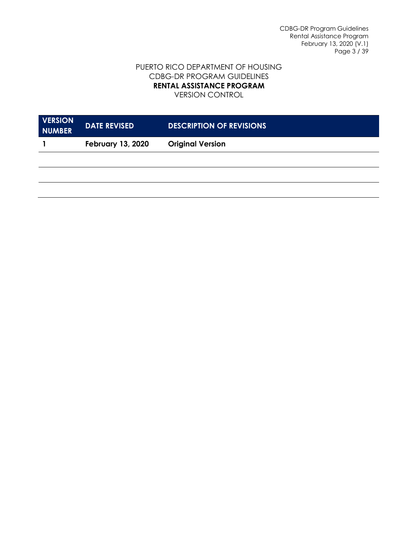CDBG-DR Program Guidelines Rental Assistance Program February 13, 2020 (V.1) Page 3 / 39

#### PUERTO RICO DEPARTMENT OF HOUSING CDBG-DR PROGRAM GUIDELINES **RENTAL ASSISTANCE PROGRAM** VERSION CONTROL

**VERSION NUMBER DATE REVISED DESCRIPTION OF REVISIONS 1 February 13, 2020 Original Version**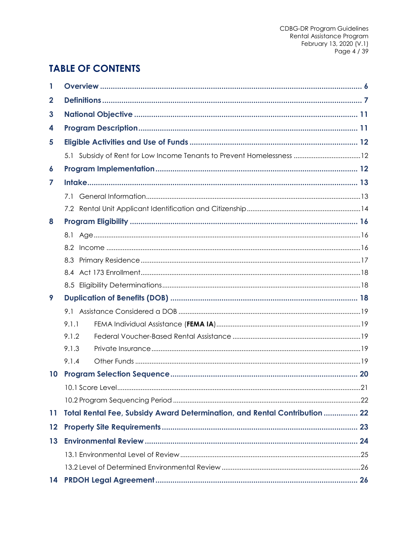## **TABLE OF CONTENTS**

| 1                |                                                                            |  |  |  |
|------------------|----------------------------------------------------------------------------|--|--|--|
| $\mathbf{2}$     |                                                                            |  |  |  |
| $\mathbf{3}$     |                                                                            |  |  |  |
| 4                |                                                                            |  |  |  |
| 5                |                                                                            |  |  |  |
|                  |                                                                            |  |  |  |
| $\boldsymbol{6}$ |                                                                            |  |  |  |
| 7                |                                                                            |  |  |  |
|                  | 7.1                                                                        |  |  |  |
|                  |                                                                            |  |  |  |
| 8                |                                                                            |  |  |  |
|                  |                                                                            |  |  |  |
|                  | 8.2                                                                        |  |  |  |
|                  | 8.3                                                                        |  |  |  |
|                  |                                                                            |  |  |  |
|                  |                                                                            |  |  |  |
| 9                |                                                                            |  |  |  |
|                  | 9.1                                                                        |  |  |  |
|                  | 9.1.1                                                                      |  |  |  |
|                  | 9.1.2                                                                      |  |  |  |
|                  | 9.1.3                                                                      |  |  |  |
|                  | 9.1.4                                                                      |  |  |  |
| 10               |                                                                            |  |  |  |
|                  |                                                                            |  |  |  |
|                  |                                                                            |  |  |  |
| 11               | Total Rental Fee, Subsidy Award Determination, and Rental Contribution  22 |  |  |  |
| 12               |                                                                            |  |  |  |
| 13               |                                                                            |  |  |  |
|                  |                                                                            |  |  |  |
|                  |                                                                            |  |  |  |
| 14               |                                                                            |  |  |  |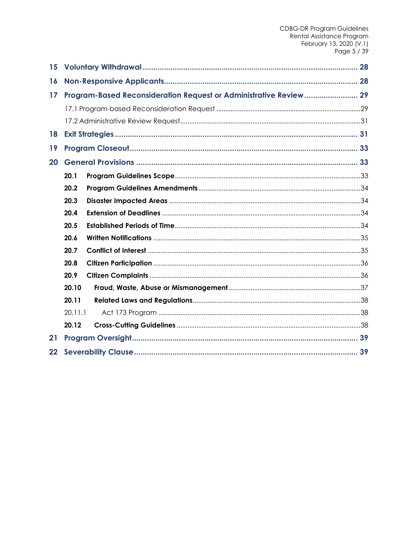| 15      |                                                                   |  |  |  |  |  |
|---------|-------------------------------------------------------------------|--|--|--|--|--|
| 16      |                                                                   |  |  |  |  |  |
| 17      | Program-Based Reconsideration Request or Administrative Review 29 |  |  |  |  |  |
|         |                                                                   |  |  |  |  |  |
|         |                                                                   |  |  |  |  |  |
| 18      |                                                                   |  |  |  |  |  |
| 19      |                                                                   |  |  |  |  |  |
| 20      |                                                                   |  |  |  |  |  |
|         | 20.1                                                              |  |  |  |  |  |
|         | 20.2                                                              |  |  |  |  |  |
|         | 20.3                                                              |  |  |  |  |  |
|         | 20.4                                                              |  |  |  |  |  |
|         | 20.5                                                              |  |  |  |  |  |
|         | 20.6                                                              |  |  |  |  |  |
|         | 20.7                                                              |  |  |  |  |  |
|         | 20.8                                                              |  |  |  |  |  |
|         | 20.9                                                              |  |  |  |  |  |
|         | 20.10                                                             |  |  |  |  |  |
|         | 20.11                                                             |  |  |  |  |  |
|         | 20.11.1                                                           |  |  |  |  |  |
|         | 20.12                                                             |  |  |  |  |  |
| 21      |                                                                   |  |  |  |  |  |
| $22 \,$ |                                                                   |  |  |  |  |  |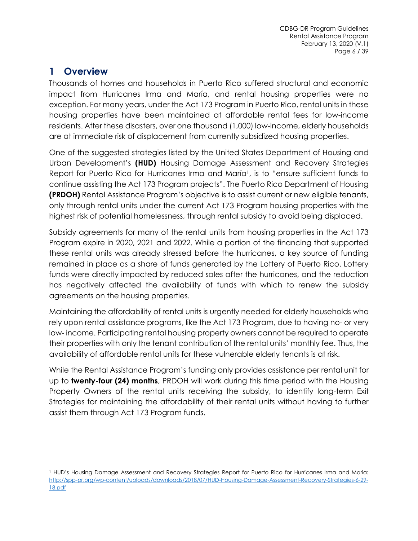## <span id="page-5-0"></span>**1 Overview**

 $\overline{a}$ 

Thousands of homes and households in Puerto Rico suffered structural and economic impact from Hurricanes Irma and María, and rental housing properties were no exception. For many years, under the Act 173 Program in Puerto Rico, rental units in these housing properties have been maintained at affordable rental fees for low-income residents. After these disasters, over one thousand (1,000) low-income, elderly households are at immediate risk of displacement from currently subsidized housing properties.

One of the suggested strategies listed by the United States Department of Housing and Urban Development's **(HUD)** Housing Damage Assessment and Recovery Strategies Report for Puerto Rico for Hurricanes Irma and María<sup>1</sup>, is to "ensure sufficient funds to continue assisting the Act 173 Program projects". The Puerto Rico Department of Housing **(PRDOH)** Rental Assistance Program's objective is to assist current or new eligible tenants, only through rental units under the current Act 173 Program housing properties with the highest risk of potential homelessness, through rental subsidy to avoid being displaced.

Subsidy agreements for many of the rental units from housing properties in the Act 173 Program expire in 2020, 2021 and 2022. While a portion of the financing that supported these rental units was already stressed before the hurricanes, a key source of funding remained in place as a share of funds generated by the Lottery of Puerto Rico. Lottery funds were directly impacted by reduced sales after the hurricanes, and the reduction has negatively affected the availability of funds with which to renew the subsidy agreements on the housing properties.

Maintaining the affordability of rental units is urgently needed for elderly households who rely upon rental assistance programs, like the Act 173 Program, due to having no- or very low- income. Participating rental housing property owners cannot be required to operate their properties with only the tenant contribution of the rental units' monthly fee. Thus, the availability of affordable rental units for these vulnerable elderly tenants is at risk.

While the Rental Assistance Program's funding only provides assistance per rental unit for up to **twenty-four (24) months**, PRDOH will work during this time period with the Housing Property Owners of the rental units receiving the subsidy, to identify long-term Exit Strategies for maintaining the affordability of their rental units without having to further assist them through Act 173 Program funds.

<sup>1</sup> HUD's Housing Damage Assessment and Recovery Strategies Report for Puerto Rico for Hurricanes Irma and María: [http://spp-pr.org/wp-content/uploads/downloads/2018/07/HUD-Housing-Damage-Assessment-Recovery-Strategies-6-29-](http://spp-pr.org/wp-content/uploads/downloads/2018/07/HUD-Housing-Damage-Assessment-Recovery-Strategies-6-29-18.pdf) [18.pdf](http://spp-pr.org/wp-content/uploads/downloads/2018/07/HUD-Housing-Damage-Assessment-Recovery-Strategies-6-29-18.pdf)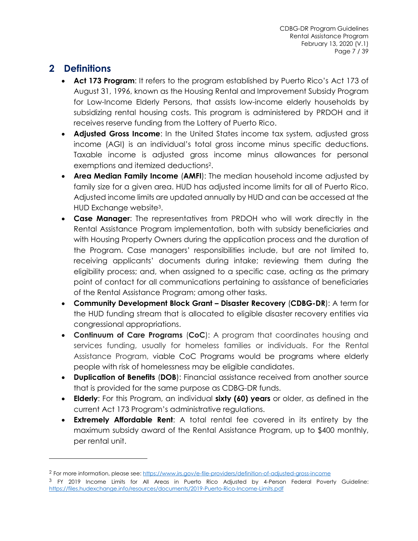## <span id="page-6-0"></span>**2 Definitions**

 $\overline{a}$ 

- **Act 173 Program**: It refers to the program established by Puerto Rico's Act 173 of August 31, 1996, known as the Housing Rental and Improvement Subsidy Program for Low-Income Elderly Persons, that assists low-income elderly households by subsidizing rental housing costs. This program is administered by PRDOH and it receives reserve funding from the Lottery of Puerto Rico.
- **Adjusted Gross Income**: In the United States income tax system, adjusted gross income (AGI) is an individual's total gross income minus specific deductions. Taxable income is adjusted gross income minus allowances for personal exemptions and itemized deductions<sup>2</sup>.
- **Area Median Family Income** (**AMFI**): The median household income adjusted by family size for a given area. HUD has adjusted income limits for all of Puerto Rico. Adjusted income limits are updated annually by HUD and can be accessed at the HUD Exchange website<sup>3</sup> .
- **Case Manager**: The representatives from PRDOH who will work directly in the Rental Assistance Program implementation, both with subsidy beneficiaries and with Housing Property Owners during the application process and the duration of the Program. Case managers' responsibilities include, but are not limited to, receiving applicants' documents during intake; reviewing them during the eligibility process; and, when assigned to a specific case, acting as the primary point of contact for all communications pertaining to assistance of beneficiaries of the Rental Assistance Program; among other tasks.
- **Community Development Block Grant – Disaster Recovery** (**CDBG-DR**): A term for the HUD funding stream that is allocated to eligible disaster recovery entities via congressional appropriations.
- **Continuum of Care Programs** (**CoC**): A program that coordinates housing and services funding, usually for homeless families or individuals. For the Rental Assistance Program, viable CoC Programs would be programs where elderly people with risk of homelessness may be eligible candidates.
- **Duplication of Benefits** (**DOB**): Financial assistance received from another source that is provided for the same purpose as CDBG-DR funds.
- **Elderly**: For this Program, an individual **sixty (60) years** or older, as defined in the current Act 173 Program's administrative regulations.
- **Extremely Affordable Rent**: A total rental fee covered in its entirety by the maximum subsidy award of the Rental Assistance Program, up to \$400 monthly, per rental unit.

<sup>2</sup> For more information, please see[: https://www.irs.gov/e-file-providers/definition-of-adjusted-gross-income](https://www.irs.gov/e-file-providers/definition-of-adjusted-gross-income)

<sup>&</sup>lt;sup>3</sup> FY 2019 Income Limits for All Areas in Puerto Rico Adjusted by 4-Person Federal Poverty Guideline: <https://files.hudexchange.info/resources/documents/2019-Puerto-Rico-Income-Limits.pdf>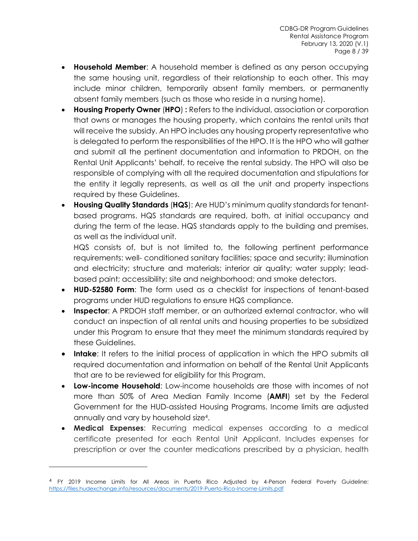- **Household Member**: A household member is defined as any person occupying the same housing unit, regardless of their relationship to each other. This may include minor children, temporarily absent family members, or permanently absent family members (such as those who reside in a nursing home).
- **Housing Property Owner** (**HPO**) **:** Refers to the individual, association or corporation that owns or manages the housing property, which contains the rental units that will receive the subsidy. An HPO includes any housing property representative who is delegated to perform the responsibilities of the HPO. It is the HPO who will gather and submit all the pertinent documentation and information to PRDOH, on the Rental Unit Applicants' behalf, to receive the rental subsidy. The HPO will also be responsible of complying with all the required documentation and stipulations for the entity it legally represents, as well as all the unit and property inspections required by these Guidelines.
- **Housing Quality Standards** (**HQS**): Are HUD's minimum quality standards for tenantbased programs. HQS standards are required, both, at initial occupancy and during the term of the lease. HQS standards apply to the building and premises, as well as the individual unit.

HQS consists of, but is not limited to, the following pertinent performance requirements: well- conditioned sanitary facilities; space and security; illumination and electricity; structure and materials; interior air quality; water supply; leadbased paint; accessibility; site and neighborhood; and smoke detectors.

- **HUD-52580 Form**: The form used as a checklist for inspections of tenant-based programs under HUD regulations to ensure HQS compliance.
- **Inspector:** A PRDOH staff member, or an authorized external contractor, who will conduct an inspection of all rental units and housing properties to be subsidized under this Program to ensure that they meet the minimum standards required by these Guidelines.
- **Intake:** It refers to the initial process of application in which the HPO submits all required documentation and information on behalf of the Rental Unit Applicants that are to be reviewed for eligibility for this Program.
- **Low-income Household**: Low-income households are those with incomes of not more than 50% of Area Median Family Income (**AMFI**) set by the Federal Government for the HUD-assisted Housing Programs. Income limits are adjusted annually and vary by household size<sup>4</sup>.
- **Medical Expenses**: Recurring medical expenses according to a medical certificate presented for each Rental Unit Applicant. Includes expenses for prescription or over the counter medications prescribed by a physician, health

l

<sup>4</sup> FY 2019 Income Limits for All Areas in Puerto Rico Adjusted by 4-Person Federal Poverty Guideline: <https://files.hudexchange.info/resources/documents/2019-Puerto-Rico-Income-Limits.pdf>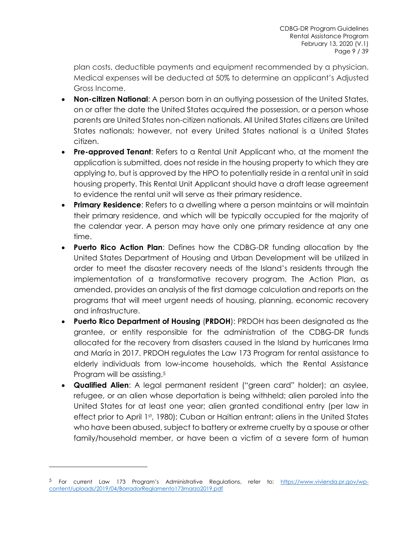plan costs, deductible payments and equipment recommended by a physician. Medical expenses will be deducted at 50% to determine an applicant's Adjusted Gross Income.

- **Non-citizen National**: A person born in an outlying possession of the United States, on or after the date the United States acquired the possession, or a person whose parents are United States non-citizen nationals. All United States citizens are United States nationals; however, not every United States national is a United States citizen.
- **Pre-approved Tenant**: Refers to a Rental Unit Applicant who, at the moment the application is submitted, does not reside in the housing property to which they are applying to, but is approved by the HPO to potentially reside in a rental unit in said housing property. This Rental Unit Applicant should have a draft lease agreement to evidence the rental unit will serve as their primary residence.
- **Primary Residence**: Refers to a dwelling where a person maintains or will maintain their primary residence, and which will be typically occupied for the majority of the calendar year. A person may have only one primary residence at any one time.
- **Puerto Rico Action Plan:** Defines how the CDBG-DR funding allocation by the United States Department of Housing and Urban Development will be utilized in order to meet the disaster recovery needs of the Island's residents through the implementation of a transformative recovery program. The Action Plan, as amended, provides an analysis of the first damage calculation and reports on the programs that will meet urgent needs of housing, planning, economic recovery and infrastructure.
- **Puerto Rico Department of Housing** (**PRDOH**): PRDOH has been designated as the grantee, or entity responsible for the administration of the CDBG-DR funds allocated for the recovery from disasters caused in the Island by hurricanes Irma and María in 2017. PRDOH regulates the Law 173 Program for rental assistance to elderly individuals from low-income households, which the Rental Assistance Program will be assisting.<sup>5</sup>
- **Qualified Alien**: A legal permanent resident ("green card" holder); an asylee, refugee, or an alien whose deportation is being withheld; alien paroled into the United States for at least one year; alien granted conditional entry (per law in effect prior to April 1st, 1980); Cuban or Haitian entrant; aliens in the United States who have been abused, subject to battery or extreme cruelty by a spouse or other family/household member, or have been a victim of a severe form of human

l

<sup>5</sup> For current Law 173 Program's Administrative Regulations, refer to: [https://www.vivienda.pr.gov/wp](https://www.vivienda.pr.gov/wp-content/uploads/2019/04/BorradorReglamento173marzo2019.pdf)[content/uploads/2019/04/BorradorReglamento173marzo2019.pdf](https://www.vivienda.pr.gov/wp-content/uploads/2019/04/BorradorReglamento173marzo2019.pdf)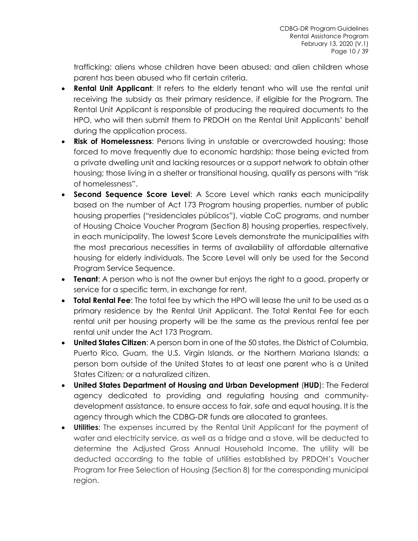trafficking; aliens whose children have been abused; and alien children whose parent has been abused who fit certain criteria.

- **Rental Unit Applicant**: It refers to the elderly tenant who will use the rental unit receiving the subsidy as their primary residence, if eligible for the Program. The Rental Unit Applicant is responsible of producing the required documents to the HPO, who will then submit them to PRDOH on the Rental Unit Applicants' behalf during the application process.
- **Risk of Homelessness**: Persons living in unstable or overcrowded housing; those forced to move frequently due to economic hardship; those being evicted from a private dwelling unit and lacking resources or a support network to obtain other housing; those living in a shelter or transitional housing, qualify as persons with "risk of homelessness".
- **Second Sequence Score Level**: A Score Level which ranks each municipality based on the number of Act 173 Program housing properties, number of public housing properties ("residenciales públicos"), viable CoC programs, and number of Housing Choice Voucher Program (Section 8) housing properties, respectively, in each municipality. The lowest Score Levels demonstrate the municipalities with the most precarious necessities in terms of availability of affordable alternative housing for elderly individuals. The Score Level will only be used for the Second Program Service Sequence.
- **Tenant**: A person who is not the owner but enjoys the right to a good, property or service for a specific term, in exchange for rent.
- **Total Rental Fee**: The total fee by which the HPO will lease the unit to be used as a primary residence by the Rental Unit Applicant. The Total Rental Fee for each rental unit per housing property will be the same as the previous rental fee per rental unit under the Act 173 Program.
- **United States Citizen**: A person born in one of the 50 states, the District of Columbia, Puerto Rico, Guam, the U.S. Virgin Islands, or the Northern Mariana Islands; a person born outside of the United States to at least one parent who is a United States Citizen; or a naturalized citizen.
- **United States Department of Housing and Urban Development** (**HUD**): The Federal agency dedicated to providing and regulating housing and communitydevelopment assistance, to ensure access to fair, safe and equal housing. It is the agency through which the CDBG-DR funds are allocated to grantees.
- **Utilities**: The expenses incurred by the Rental Unit Applicant for the payment of water and electricity service, as well as a fridge and a stove, will be deducted to determine the Adjusted Gross Annual Household Income. The utility will be deducted according to the table of utilities established by PRDOH's Voucher Program for Free Selection of Housing (Section 8) for the corresponding municipal region.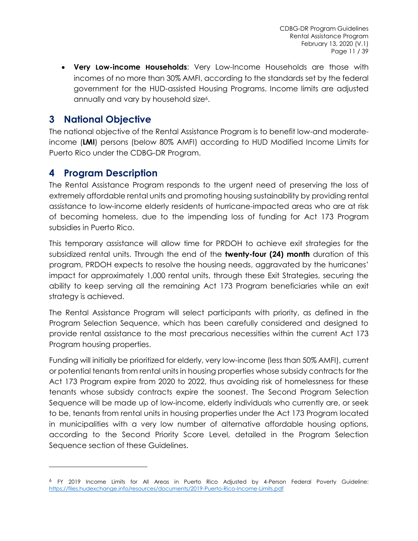**• Very Low-income Households:** Very Low-Income Households are those with incomes of no more than 30% AMFI, according to the standards set by the federal government for the HUD-assisted Housing Programs. Income limits are adjusted annually and vary by household size<sup>6</sup>.

## <span id="page-10-0"></span>**3 National Objective**

The national objective of the Rental Assistance Program is to benefit low-and moderateincome (**LMI**) persons (below 80% AMFI) according to HUD Modified Income Limits for Puerto Rico under the CDBG-DR Program.

### <span id="page-10-1"></span>**4 Program Description**

l

The Rental Assistance Program responds to the urgent need of preserving the loss of extremely affordable rental units and promoting housing sustainability by providing rental assistance to low-income elderly residents of hurricane-impacted areas who are at risk of becoming homeless, due to the impending loss of funding for Act 173 Program subsidies in Puerto Rico.

This temporary assistance will allow time for PRDOH to achieve exit strategies for the subsidized rental units. Through the end of the **twenty-four (24) month** duration of this program, PRDOH expects to resolve the housing needs, aggravated by the hurricanes' impact for approximately 1,000 rental units, through these Exit Strategies, securing the ability to keep serving all the remaining Act 173 Program beneficiaries while an exit strategy is achieved.

The Rental Assistance Program will select participants with priority, as defined in the Program Selection Sequence, which has been carefully considered and designed to provide rental assistance to the most precarious necessities within the current Act 173 Program housing properties.

Funding will initially be prioritized for elderly, very low-income (less than 50% AMFI), current or potential tenants from rental units in housing properties whose subsidy contracts for the Act 173 Program expire from 2020 to 2022, thus avoiding risk of homelessness for these tenants whose subsidy contracts expire the soonest. The Second Program Selection Sequence will be made up of low-income, elderly individuals who currently are, or seek to be, tenants from rental units in housing properties under the Act 173 Program located in municipalities with a very low number of alternative affordable housing options, according to the Second Priority Score Level, detailed in the Program Selection Sequence section of these Guidelines.

<sup>6</sup> FY 2019 Income Limits for All Areas in Puerto Rico Adjusted by 4-Person Federal Poverty Guideline: <https://files.hudexchange.info/resources/documents/2019-Puerto-Rico-Income-Limits.pdf>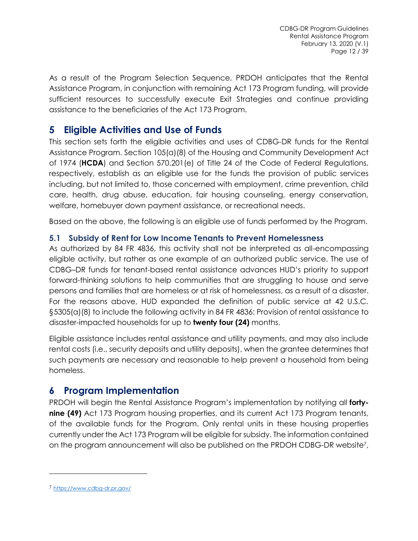As a result of the Program Selection Sequence, PRDOH anticipates that the Rental Assistance Program, in conjunction with remaining Act 173 Program funding, will provide sufficient resources to successfully execute Exit Strategies and continue providing assistance to the beneficiaries of the Act 173 Program.

## <span id="page-11-0"></span>**5 Eligible Activities and Use of Funds**

This section sets forth the eligible activities and uses of CDBG-DR funds for the Rental Assistance Program. Section 105(a)(8) of the Housing and Community Development Act of 1974 (**HCDA**) and Section 570.201(e) of Title 24 of the Code of Federal Regulations, respectively, establish as an eligible use for the funds the provision of public services including, but not limited to, those concerned with employment, crime prevention, child care, health, drug abuse, education, fair housing counseling, energy conservation, welfare, homebuyer down payment assistance, or recreational needs.

Based on the above, the following is an eligible use of funds performed by the Program.

#### <span id="page-11-1"></span>**5.1 Subsidy of Rent for Low Income Tenants to Prevent Homelessness**

As authorized by 84 FR 4836, this activity shall not be interpreted as all-encompassing eligible activity, but rather as one example of an authorized public service. The use of CDBG–DR funds for tenant-based rental assistance advances HUD's priority to support forward-thinking solutions to help communities that are struggling to house and serve persons and families that are homeless or at risk of homelessness, as a result of a disaster. For the reasons above, HUD expanded the definition of public service at 42 U.S.C. §5305(a)(8) to include the following activity in 84 FR 4836: Provision of rental assistance to disaster-impacted households for up to **twenty four (24)** months.

Eligible assistance includes rental assistance and utility payments, and may also include rental costs (i.e., security deposits and utility deposits), when the grantee determines that such payments are necessary and reasonable to help prevent a household from being homeless.

## <span id="page-11-2"></span>**6 Program Implementation**

PRDOH will begin the Rental Assistance Program's implementation by notifying all **fortynine (49)** Act 173 Program housing properties, and its current Act 173 Program tenants, of the available funds for the Program. Only rental units in these housing properties currently under the Act 173 Program will be eligible for subsidy. The information contained on the program announcement will also be published on the PRDOH CDBG-DR website<sup>7</sup> ,

 $\overline{a}$ 

<sup>7</sup> <https://www.cdbg-dr.pr.gov/>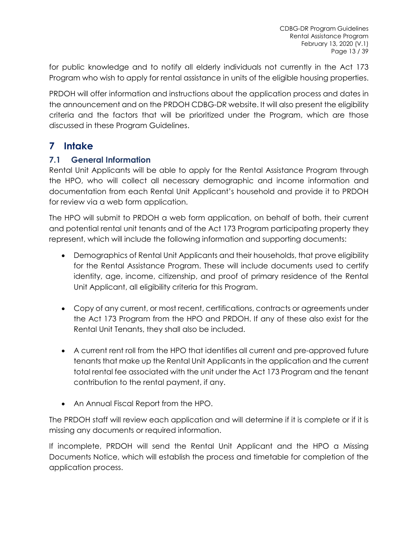for public knowledge and to notify all elderly individuals not currently in the Act 173 Program who wish to apply for rental assistance in units of the eligible housing properties.

PRDOH will offer information and instructions about the application process and dates in the announcement and on the PRDOH CDBG-DR website. It will also present the eligibility criteria and the factors that will be prioritized under the Program, which are those discussed in these Program Guidelines.

## <span id="page-12-0"></span>**7 Intake**

#### <span id="page-12-1"></span>**7.1 General Information**

Rental Unit Applicants will be able to apply for the Rental Assistance Program through the HPO, who will collect all necessary demographic and income information and documentation from each Rental Unit Applicant's household and provide it to PRDOH for review via a web form application.

The HPO will submit to PRDOH a web form application, on behalf of both, their current and potential rental unit tenants and of the Act 173 Program participating property they represent, which will include the following information and supporting documents:

- Demographics of Rental Unit Applicants and their households, that prove eligibility for the Rental Assistance Program. These will include documents used to certify identity, age, income, citizenship, and proof of primary residence of the Rental Unit Applicant, all eligibility criteria for this Program.
- Copy of any current, or most recent, certifications, contracts or agreements under the Act 173 Program from the HPO and PRDOH. If any of these also exist for the Rental Unit Tenants, they shall also be included.
- A current rent roll from the HPO that identifies all current and pre-approved future tenants that make up the Rental Unit Applicants in the application and the current total rental fee associated with the unit under the Act 173 Program and the tenant contribution to the rental payment, if any.
- An Annual Fiscal Report from the HPO.

The PRDOH staff will review each application and will determine if it is complete or if it is missing any documents or required information.

If incomplete, PRDOH will send the Rental Unit Applicant and the HPO a Missing Documents Notice, which will establish the process and timetable for completion of the application process.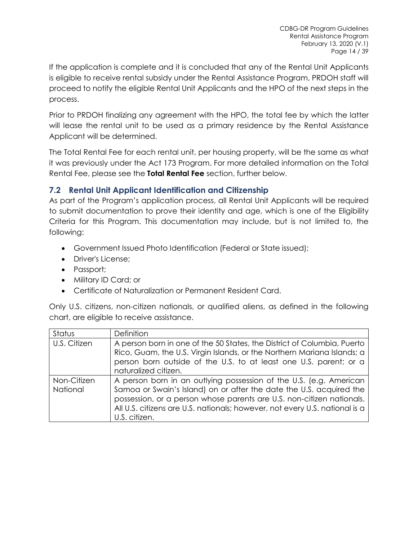If the application is complete and it is concluded that any of the Rental Unit Applicants is eligible to receive rental subsidy under the Rental Assistance Program, PRDOH staff will proceed to notify the eligible Rental Unit Applicants and the HPO of the next steps in the process.

Prior to PRDOH finalizing any agreement with the HPO, the total fee by which the latter will lease the rental unit to be used as a primary residence by the Rental Assistance Applicant will be determined.

The Total Rental Fee for each rental unit, per housing property, will be the same as what it was previously under the Act 173 Program. For more detailed information on the Total Rental Fee, please see the **Total Rental Fee** section, further below.

#### <span id="page-13-0"></span>**7.2 Rental Unit Applicant Identification and Citizenship**

As part of the Program's application process, all Rental Unit Applicants will be required to submit documentation to prove their identity and age, which is one of the Eligibility Criteria for this Program. This documentation may include, but is not limited to, the following:

- Government Issued Photo Identification (Federal or State issued);
- Driver's License;
- Passport;
- Military ID Card; or
- Certificate of Naturalization or Permanent Resident Card.

Only U.S. citizens, non-citizen nationals, or qualified aliens, as defined in the following chart, are eligible to receive assistance.

| Status                  | Definition                                                                                                                                                                                                                                                                                                         |
|-------------------------|--------------------------------------------------------------------------------------------------------------------------------------------------------------------------------------------------------------------------------------------------------------------------------------------------------------------|
| U.S. Citizen            | A person born in one of the 50 States, the District of Columbia, Puerto<br>Rico, Guam, the U.S. Virgin Islands, or the Northern Mariana Islands; a<br>person born outside of the U.S. to at least one U.S. parent; or a<br>naturalized citizen.                                                                    |
| Non-Citizen<br>National | A person born in an outlying possession of the U.S. (e.g. American<br>Samoa or Swain's Island) on or after the date the U.S. acquired the<br>possession, or a person whose parents are U.S. non-citizen nationals.<br>All U.S. citizens are U.S. nationals; however, not every U.S. national is a<br>U.S. citizen. |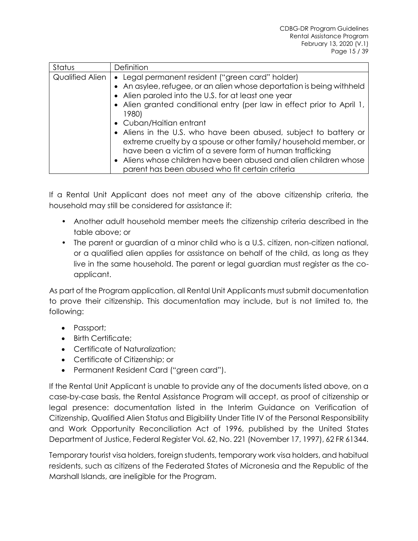| Status          | Definition                                                                                                                                                                                                                                                                                                                                                                                                                                                                                                                                                                                                                  |
|-----------------|-----------------------------------------------------------------------------------------------------------------------------------------------------------------------------------------------------------------------------------------------------------------------------------------------------------------------------------------------------------------------------------------------------------------------------------------------------------------------------------------------------------------------------------------------------------------------------------------------------------------------------|
| Qualified Alien | • Legal permanent resident ("green card" holder)<br>• An asylee, refugee, or an alien whose deportation is being withheld<br>• Alien paroled into the U.S. for at least one year<br>• Alien granted conditional entry (per law in effect prior to April 1,<br>1980)<br>• Cuban/Haitian entrant<br>• Aliens in the U.S. who have been abused, subject to battery or<br>extreme cruelty by a spouse or other family/ household member, or<br>have been a victim of a severe form of human trafficking<br>• Aliens whose children have been abused and alien children whose<br>parent has been abused who fit certain criteria |

If a Rental Unit Applicant does not meet any of the above citizenship criteria, the household may still be considered for assistance if:

- Another adult household member meets the citizenship criteria described in the table above; or
- The parent or guardian of a minor child who is a U.S. citizen, non-citizen national, or a qualified alien applies for assistance on behalf of the child, as long as they live in the same household. The parent or legal guardian must register as the coapplicant.

As part of the Program application, all Rental Unit Applicants must submit documentation to prove their citizenship. This documentation may include, but is not limited to, the following:

- Passport;
- Birth Certificate;
- Certificate of Naturalization;
- Certificate of Citizenship; or
- Permanent Resident Card ("green card").

If the Rental Unit Applicant is unable to provide any of the documents listed above, on a case-by-case basis, the Rental Assistance Program will accept, as proof of citizenship or legal presence: documentation listed in the Interim Guidance on Verification of Citizenship, Qualified Alien Status and Eligibility Under Title IV of the Personal Responsibility and Work Opportunity Reconciliation Act of 1996, published by the United States Department of Justice, Federal Register Vol. 62, No. 221 (November 17, 1997), 62 FR 61344.

Temporary tourist visa holders, foreign students, temporary work visa holders, and habitual residents, such as citizens of the Federated States of Micronesia and the Republic of the Marshall Islands, are ineligible for the Program.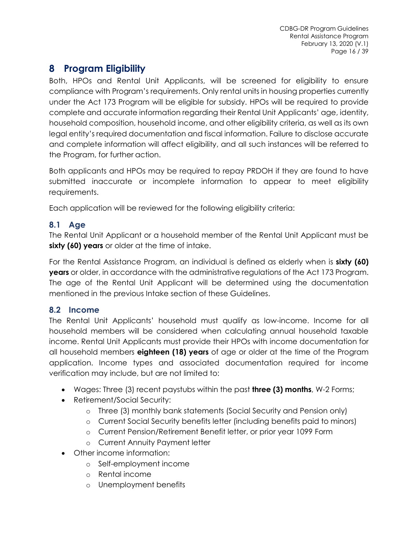## <span id="page-15-0"></span>**8 Program Eligibility**

Both, HPOs and Rental Unit Applicants, will be screened for eligibility to ensure compliance with Program's requirements. Only rental units in housing properties currently under the Act 173 Program will be eligible for subsidy. HPOs will be required to provide complete and accurate information regarding their Rental Unit Applicants' age, identity, household composition, household income, and other eligibility criteria, as well as its own legal entity's required documentation and fiscal information. Failure to disclose accurate and complete information will affect eligibility, and all such instances will be referred to the Program, for further action.

Both applicants and HPOs may be required to repay PRDOH if they are found to have submitted inaccurate or incomplete information to appear to meet eligibility requirements.

Each application will be reviewed for the following eligibility criteria:

#### <span id="page-15-1"></span>**8.1 Age**

The Rental Unit Applicant or a household member of the Rental Unit Applicant must be **sixty (60) years** or older at the time of intake.

For the Rental Assistance Program, an individual is defined as elderly when is **sixty (60) years** or older, in accordance with the administrative regulations of the Act 173 Program. The age of the Rental Unit Applicant will be determined using the documentation mentioned in the previous Intake section of these Guidelines.

#### <span id="page-15-2"></span>**8.2 Income**

The Rental Unit Applicants' household must qualify as low-income. Income for all household members will be considered when calculating annual household taxable income. Rental Unit Applicants must provide their HPOs with income documentation for all household members **eighteen (18) years** of age or older at the time of the Program application. Income types and associated documentation required for income verification may include, but are not limited to:

- Wages: Three (3) recent paystubs within the past **three (3) months**, W-2 Forms;
- Retirement/Social Security:
	- o Three (3) monthly bank statements (Social Security and Pension only)
	- o Current Social Security benefits letter (including benefits paid to minors)
	- o Current Pension/Retirement Benefit letter, or prior year 1099 Form
	- o Current Annuity Payment letter
- Other income information:
	- o Self-employment income
	- o Rental income
	- o Unemployment benefits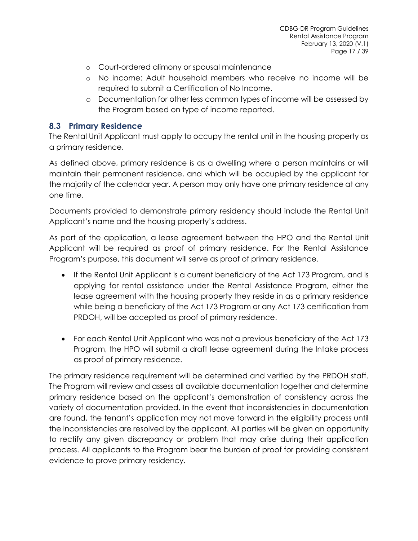- o Court-ordered alimony or spousal maintenance
- o No income: Adult household members who receive no income will be required to submit a Certification of No Income.
- o Documentation for other less common types of income will be assessed by the Program based on type of income reported.

#### <span id="page-16-0"></span>**8.3 Primary Residence**

The Rental Unit Applicant must apply to occupy the rental unit in the housing property as a primary residence.

As defined above, primary residence is as a dwelling where a person maintains or will maintain their permanent residence, and which will be occupied by the applicant for the majority of the calendar year. A person may only have one primary residence at any one time.

Documents provided to demonstrate primary residency should include the Rental Unit Applicant's name and the housing property's address.

As part of the application, a lease agreement between the HPO and the Rental Unit Applicant will be required as proof of primary residence. For the Rental Assistance Program's purpose, this document will serve as proof of primary residence.

- If the Rental Unit Applicant is a current beneficiary of the Act 173 Program, and is applying for rental assistance under the Rental Assistance Program, either the lease agreement with the housing property they reside in as a primary residence while being a beneficiary of the Act 173 Program or any Act 173 certification from PRDOH, will be accepted as proof of primary residence.
- For each Rental Unit Applicant who was not a previous beneficiary of the Act 173 Program, the HPO will submit a draft lease agreement during the Intake process as proof of primary residence.

The primary residence requirement will be determined and verified by the PRDOH staff. The Program will review and assess all available documentation together and determine primary residence based on the applicant's demonstration of consistency across the variety of documentation provided. In the event that inconsistencies in documentation are found, the tenant's application may not move forward in the eligibility process until the inconsistencies are resolved by the applicant. All parties will be given an opportunity to rectify any given discrepancy or problem that may arise during their application process. All applicants to the Program bear the burden of proof for providing consistent evidence to prove primary residency.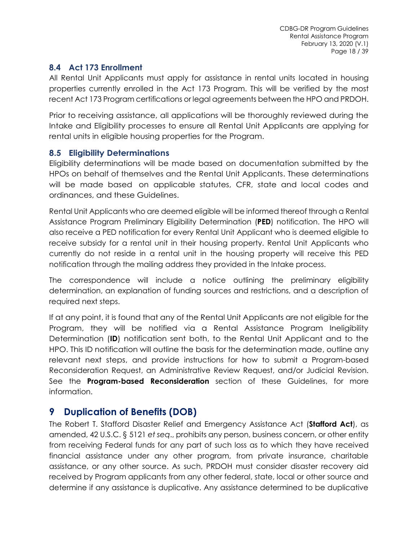#### <span id="page-17-0"></span>**8.4 Act 173 Enrollment**

All Rental Unit Applicants must apply for assistance in rental units located in housing properties currently enrolled in the Act 173 Program. This will be verified by the most recent Act 173 Program certifications or legal agreements between the HPO and PRDOH.

Prior to receiving assistance, all applications will be thoroughly reviewed during the Intake and Eligibility processes to ensure all Rental Unit Applicants are applying for rental units in eligible housing properties for the Program.

#### <span id="page-17-1"></span>**8.5 Eligibility Determinations**

Eligibility determinations will be made based on documentation submitted by the HPOs on behalf of themselves and the Rental Unit Applicants. These determinations will be made based on applicable statutes, CFR, state and local codes and ordinances, and these Guidelines.

Rental Unit Applicants who are deemed eligible will be informed thereof through a Rental Assistance Program Preliminary Eligibility Determination (**PED**) notification. The HPO will also receive a PED notification for every Rental Unit Applicant who is deemed eligible to receive subsidy for a rental unit in their housing property. Rental Unit Applicants who currently do not reside in a rental unit in the housing property will receive this PED notification through the mailing address they provided in the Intake process.

The correspondence will include a notice outlining the preliminary eligibility determination, an explanation of funding sources and restrictions, and a description of required next steps.

If at any point, it is found that any of the Rental Unit Applicants are not eligible for the Program, they will be notified via a Rental Assistance Program Ineligibility Determination (**ID**) notification sent both, to the Rental Unit Applicant and to the HPO. This ID notification will outline the basis for the determination made, outline any relevant next steps, and provide instructions for how to submit a Program-based Reconsideration Request, an Administrative Review Request, and/or Judicial Revision. See the **Program-based Reconsideration** section of these Guidelines, for more information.

## <span id="page-17-2"></span>**9 Duplication of Benefits (DOB)**

The Robert T. Stafford Disaster Relief and Emergency Assistance Act (**Stafford Act**), as amended, 42 U.S.C. § 5121 *et seq*., prohibits any person, business concern, or other entity from receiving Federal funds for any part of such loss as to which they have received financial assistance under any other program, from private insurance, charitable assistance, or any other source. As such, PRDOH must consider disaster recovery aid received by Program applicants from any other federal, state, local or other source and determine if any assistance is duplicative. Any assistance determined to be duplicative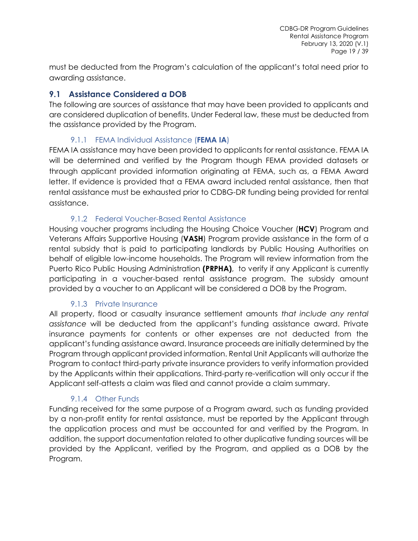must be deducted from the Program's calculation of the applicant's total need prior to awarding assistance.

#### <span id="page-18-0"></span>**9.1 Assistance Considered a DOB**

The following are sources of assistance that may have been provided to applicants and are considered duplication of benefits. Under Federal law, these must be deducted from the assistance provided by the Program.

#### 9.1.1 FEMA Individual Assistance (**FEMA IA**)

<span id="page-18-1"></span>FEMA IA assistance may have been provided to applicants for rental assistance. FEMA IA will be determined and verified by the Program though FEMA provided datasets or through applicant provided information originating at FEMA, such as, a FEMA Award letter. If evidence is provided that a FEMA award included rental assistance, then that rental assistance must be exhausted prior to CDBG-DR funding being provided for rental assistance.

#### 9.1.2 Federal Voucher-Based Rental Assistance

<span id="page-18-2"></span>Housing voucher programs including the Housing Choice Voucher (**HCV**) Program and Veterans Affairs Supportive Housing (**VASH**) Program provide assistance in the form of a rental subsidy that is paid to participating landlords by Public Housing Authorities on behalf of eligible low-income households. The Program will review information from the Puerto Rico Public Housing Administration **(PRPHA)**, to verify if any Applicant is currently participating in a voucher-based rental assistance program. The subsidy amount provided by a voucher to an Applicant will be considered a DOB by the Program.

#### 9.1.3 Private Insurance

<span id="page-18-3"></span>All property, flood or casualty insurance settlement amounts *that include any rental assistance* will be deducted from the applicant's funding assistance award. Private insurance payments for contents or other expenses are not deducted from the applicant's funding assistance award. Insurance proceeds are initially determined by the Program through applicant provided information. Rental Unit Applicants will authorize the Program to contact third-party private insurance providers to verify information provided by the Applicants within their applications. Third-party re-verification will only occur if the Applicant self-attests a claim was filed and cannot provide a claim summary.

#### 9.1.4 Other Funds

<span id="page-18-4"></span>Funding received for the same purpose of a Program award, such as funding provided by a non-profit entity for rental assistance, must be reported by the Applicant through the application process and must be accounted for and verified by the Program. In addition, the support documentation related to other duplicative funding sources will be provided by the Applicant, verified by the Program, and applied as a DOB by the Program.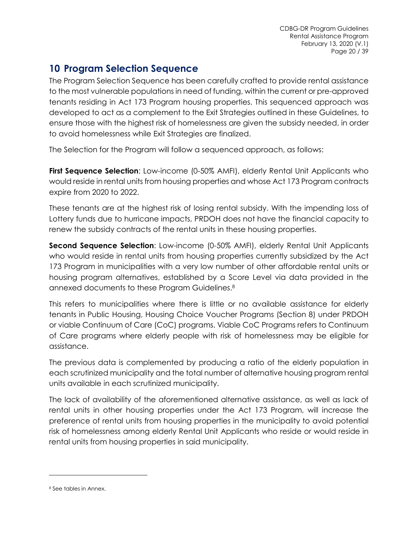## <span id="page-19-0"></span>**10 Program Selection Sequence**

The Program Selection Sequence has been carefully crafted to provide rental assistance to the most vulnerable populations in need of funding, within the current or pre-approved tenants residing in Act 173 Program housing properties. This sequenced approach was developed to act as a complement to the Exit Strategies outlined in these Guidelines, to ensure those with the highest risk of homelessness are given the subsidy needed, in order to avoid homelessness while Exit Strategies are finalized.

The Selection for the Program will follow a sequenced approach, as follows:

**First Sequence Selection**: Low-income (0-50% AMFI), elderly Rental Unit Applicants who would reside in rental units from housing properties and whose Act 173 Program contracts expire from 2020 to 2022.

These tenants are at the highest risk of losing rental subsidy. With the impending loss of Lottery funds due to hurricane impacts, PRDOH does not have the financial capacity to renew the subsidy contracts of the rental units in these housing properties.

**Second Sequence Selection**: Low-income (0-50% AMFI), elderly Rental Unit Applicants who would reside in rental units from housing properties currently subsidized by the Act 173 Program in municipalities with a very low number of other affordable rental units or housing program alternatives, established by a Score Level via data provided in the annexed documents to these Program Guidelines. 8

This refers to municipalities where there is little or no available assistance for elderly tenants in Public Housing, Housing Choice Voucher Programs (Section 8) under PRDOH or viable Continuum of Care (CoC) programs. Viable CoC Programs refers to Continuum of Care programs where elderly people with risk of homelessness may be eligible for assistance.

The previous data is complemented by producing a ratio of the elderly population in each scrutinized municipality and the total number of alternative housing program rental units available in each scrutinized municipality.

The lack of availability of the aforementioned alternative assistance, as well as lack of rental units in other housing properties under the Act 173 Program, will increase the preference of rental units from housing properties in the municipality to avoid potential risk of homelessness among elderly Rental Unit Applicants who reside or would reside in rental units from housing properties in said municipality.

 $\overline{a}$ 

<sup>8</sup> See tables in Annex.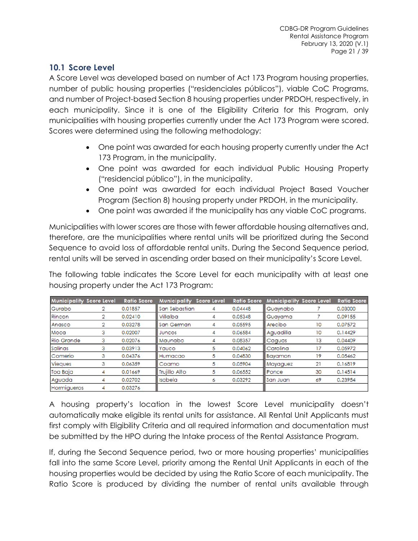#### <span id="page-20-0"></span>**10.1 Score Level**

A Score Level was developed based on number of Act 173 Program housing properties, number of public housing properties ("residenciales públicos"), viable CoC Programs, and number of Project-based Section 8 housing properties under PRDOH, respectively, in each municipality. Since it is one of the Eligibility Criteria for this Program, only municipalities with housing properties currently under the Act 173 Program were scored. Scores were determined using the following methodology:

- One point was awarded for each housing property currently under the Act 173 Program, in the municipality.
- One point was awarded for each individual Public Housing Property ("residencial público"), in the municipality.
- One point was awarded for each individual Project Based Voucher Program (Section 8) housing property under PRDOH, in the municipality.
- One point was awarded if the municipality has any viable CoC programs.

Municipalities with lower scores are those with fewer affordable housing alternatives and, therefore, are the municipalities where rental units will be prioritized during the Second Sequence to avoid loss of affordable rental units. During the Second Sequence period, rental units will be served in ascending order based on their municipality's Score Level.

The following table indicates the Score Level for each municipality with at least one housing property under the Act 173 Program:

| <b>Municipality Score Level</b> |   | <b>Ratio Score</b> | <b>Municipality</b> | <b>Score Level</b> | <b>Ratio Score</b> | <b>Municipality Score Level</b> |    | <b>Ratio Score</b> |
|---------------------------------|---|--------------------|---------------------|--------------------|--------------------|---------------------------------|----|--------------------|
| <b>Gurabo</b>                   | 2 | 0.01857            | San Sebastian       | 4                  | 0.04448            | Guaynabo                        |    | 0.03000            |
| Rincon                          |   | 0.02410            | Villalba            | 4                  | 0.05348            | Guayama                         |    | 0.09155            |
| Anasco                          |   | 0.03278            | San German          | 4                  | 0.05595            | Arecibo                         | 10 | 0.07572            |
| Moca                            | 3 | 0.02007            | Juncos              | 4                  | 0.06584            | Aquadilla                       | 10 | 0.14429            |
| <b>Rio Grande</b>               | з | 0.02076            | Maunabo             | 4                  | 0.08357            | Caguas                          | 13 | 0.04409            |
| Salinas                         | з | 0.03913            | Yauco               | 5                  | 0.04062            | Carolina                        |    | 0.05972            |
| Comerio                         | з | 0.04376            | Humacao             | 5                  | 0.04830            | <b>Bayamon</b>                  | 19 | 0.05462            |
| Vieques                         | 3 | 0.06359            | Coamo               | 5                  | 0.05904            | Mayaguez                        | 21 | 0.16819            |
| Toa Baja                        |   | 0.01669            | Trujillo Alto       | 5                  | 0.06552            | Ponce                           | 30 | 0.14514            |
| Aguada                          | 4 | 0.02702            | Isabela             | 6                  | 0.03292            | San Juan                        | 69 | 0.23954            |
| Hormiqueros                     |   | 0.03276            |                     |                    |                    |                                 |    |                    |

A housing property's location in the lowest Score Level municipality doesn't automatically make eligible its rental units for assistance. All Rental Unit Applicants must first comply with Eligibility Criteria and all required information and documentation must be submitted by the HPO during the Intake process of the Rental Assistance Program.

If, during the Second Sequence period, two or more housing properties' municipalities fall into the same Score Level, priority among the Rental Unit Applicants in each of the housing properties would be decided by using the Ratio Score of each municipality. The Ratio Score is produced by dividing the number of rental units available through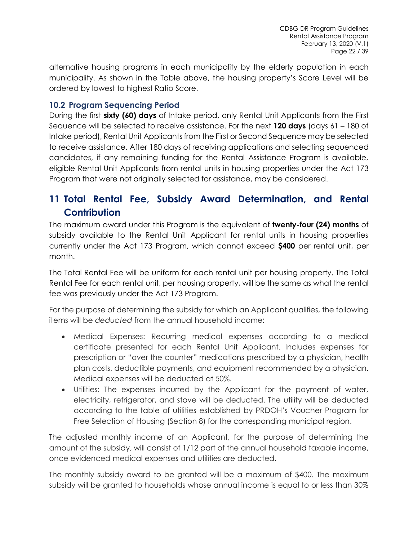alternative housing programs in each municipality by the elderly population in each municipality. As shown in the Table above, the housing property's Score Level will be ordered by lowest to highest Ratio Score.

#### <span id="page-21-0"></span>**10.2 Program Sequencing Period**

During the first **sixty (60) days** of Intake period, only Rental Unit Applicants from the First Sequence will be selected to receive assistance. For the next **120 days** (days 61 – 180 of Intake period), Rental Unit Applicants from the First or Second Sequence may be selected to receive assistance. After 180 days of receiving applications and selecting sequenced candidates, if any remaining funding for the Rental Assistance Program is available, eligible Rental Unit Applicants from rental units in housing properties under the Act 173 Program that were not originally selected for assistance, may be considered.

## <span id="page-21-1"></span>**11 Total Rental Fee, Subsidy Award Determination, and Rental Contribution**

The maximum award under this Program is the equivalent of **twenty-four (24) months** of subsidy available to the Rental Unit Applicant for rental units in housing properties currently under the Act 173 Program, which cannot exceed **\$400** per rental unit, per month.

The Total Rental Fee will be uniform for each rental unit per housing property. The Total Rental Fee for each rental unit, per housing property, will be the same as what the rental fee was previously under the Act 173 Program.

For the purpose of determining the subsidy for which an Applicant qualifies, the following items will be *deducted* from the annual household income:

- Medical Expenses: Recurring medical expenses according to a medical certificate presented for each Rental Unit Applicant. Includes expenses for prescription or "over the counter" medications prescribed by a physician, health plan costs, deductible payments, and equipment recommended by a physician. Medical expenses will be deducted at 50%.
- Utilities: The expenses incurred by the Applicant for the payment of water, electricity, refrigerator, and stove will be deducted. The utility will be deducted according to the table of utilities established by PRDOH's Voucher Program for Free Selection of Housing (Section 8) for the corresponding municipal region.

The adjusted monthly income of an Applicant, for the purpose of determining the amount of the subsidy, will consist of 1/12 part of the annual household taxable income, once evidenced medical expenses and utilities are deducted.

The monthly subsidy award to be granted will be a maximum of \$400. The maximum subsidy will be granted to households whose annual income is equal to or less than 30%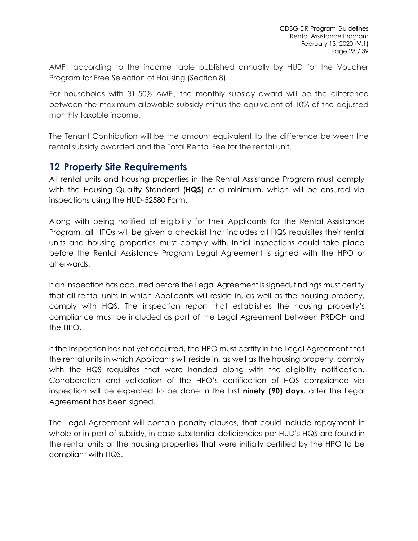AMFI, according to the income table published annually by HUD for the Voucher Program for Free Selection of Housing (Section 8).

For households with 31-50% AMFI, the monthly subsidy award will be the difference between the maximum allowable subsidy minus the equivalent of 10% of the adjusted monthly taxable income.

The Tenant Contribution will be the amount equivalent to the difference between the rental subsidy awarded and the Total Rental Fee for the rental unit.

#### <span id="page-22-0"></span>**12 Property Site Requirements**

All rental units and housing properties in the Rental Assistance Program must comply with the Housing Quality Standard (**HQS**) at a minimum, which will be ensured via inspections using the HUD-52580 Form.

Along with being notified of eligibility for their Applicants for the Rental Assistance Program, all HPOs will be given a checklist that includes all HQS requisites their rental units and housing properties must comply with. Initial inspections could take place before the Rental Assistance Program Legal Agreement is signed with the HPO or afterwards.

If an inspection has occurred before the Legal Agreement is signed, findings must certify that all rental units in which Applicants will reside in, as well as the housing property, comply with HQS. The inspection report that establishes the housing property's compliance must be included as part of the Legal Agreement between PRDOH and the HPO.

If the inspection has not yet occurred, the HPO must certify in the Legal Agreement that the rental units in which Applicants will reside in, as well as the housing property, comply with the HQS requisites that were handed along with the eligibility notification. Corroboration and validation of the HPO's certification of HQS compliance via inspection will be expected to be done in the first **ninety (90) days**, after the Legal Agreement has been signed.

The Legal Agreement will contain penalty clauses, that could include repayment in whole or in part of subsidy, in case substantial deficiencies per HUD's HQS are found in the rental units or the housing properties that were initially certified by the HPO to be compliant with HQS.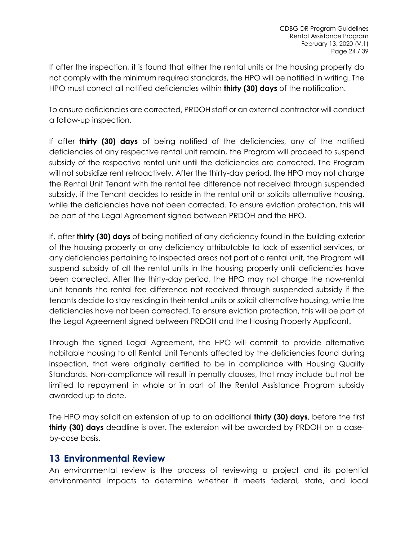If after the inspection, it is found that either the rental units or the housing property do not comply with the minimum required standards, the HPO will be notified in writing. The HPO must correct all notified deficiencies within **thirty (30) days** of the notification.

To ensure deficiencies are corrected, PRDOH staff or an external contractor will conduct a follow-up inspection.

If after **thirty (30) days** of being notified of the deficiencies, any of the notified deficiencies of any respective rental unit remain, the Program will proceed to suspend subsidy of the respective rental unit until the deficiencies are corrected. The Program will not subsidize rent retroactively. After the thirty-day period, the HPO may not charge the Rental Unit Tenant with the rental fee difference not received through suspended subsidy, if the Tenant decides to reside in the rental unit or solicits alternative housing, while the deficiencies have not been corrected. To ensure eviction protection, this will be part of the Legal Agreement signed between PRDOH and the HPO.

If, after **thirty (30) days** of being notified of any deficiency found in the building exterior of the housing property or any deficiency attributable to lack of essential services, or any deficiencies pertaining to inspected areas not part of a rental unit, the Program will suspend subsidy of all the rental units in the housing property until deficiencies have been corrected. After the thirty-day period, the HPO may not charge the now-rental unit tenants the rental fee difference not received through suspended subsidy if the tenants decide to stay residing in their rental units or solicit alternative housing, while the deficiencies have not been corrected. To ensure eviction protection, this will be part of the Legal Agreement signed between PRDOH and the Housing Property Applicant.

Through the signed Legal Agreement, the HPO will commit to provide alternative habitable housing to all Rental Unit Tenants affected by the deficiencies found during inspection, that were originally certified to be in compliance with Housing Quality Standards. Non-compliance will result in penalty clauses, that may include but not be limited to repayment in whole or in part of the Rental Assistance Program subsidy awarded up to date.

The HPO may solicit an extension of up to an additional **thirty (30) days**, before the first **thirty (30) days** deadline is over. The extension will be awarded by PRDOH on a caseby-case basis.

#### <span id="page-23-0"></span>**13 Environmental Review**

An environmental review is the process of reviewing a project and its potential environmental impacts to determine whether it meets federal, state, and local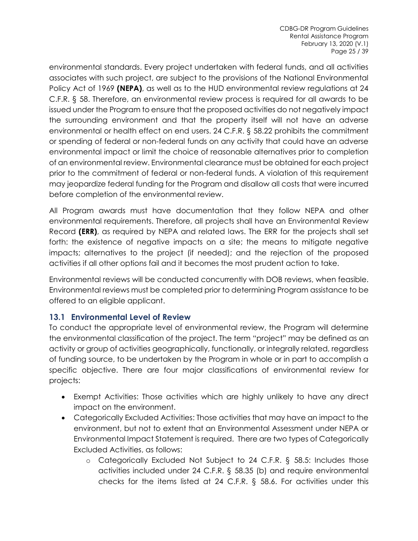environmental standards. Every project undertaken with federal funds, and all activities associates with such project, are subject to the provisions of the National Environmental Policy Act of 1969 **(NEPA)**, as well as to the HUD environmental review regulations at 24 C.F.R. § 58. Therefore, an environmental review process is required for all awards to be issued under the Program to ensure that the proposed activities do not negatively impact the surrounding environment and that the property itself will not have an adverse environmental or health effect on end users. 24 C.F.R. § 58.22 prohibits the commitment or spending of federal or non-federal funds on any activity that could have an adverse environmental impact or limit the choice of reasonable alternatives prior to completion of an environmental review. Environmental clearance must be obtained for each project prior to the commitment of federal or non-federal funds. A violation of this requirement may jeopardize federal funding for the Program and disallow all costs that were incurred before completion of the environmental review.

All Program awards must have documentation that they follow NEPA and other environmental requirements. Therefore, all projects shall have an Environmental Review Record **(ERR)**, as required by NEPA and related laws. The ERR for the projects shall set forth: the existence of negative impacts on a site; the means to mitigate negative impacts; alternatives to the project (if needed); and the rejection of the proposed activities if all other options fail and it becomes the most prudent action to take.

Environmental reviews will be conducted concurrently with DOB reviews, when feasible. Environmental reviews must be completed prior to determining Program assistance to be offered to an eligible applicant.

#### <span id="page-24-0"></span>**13.1 Environmental Level of Review**

To conduct the appropriate level of environmental review, the Program will determine the environmental classification of the project. The term "project" may be defined as an activity or group of activities geographically, functionally, or integrally related, regardless of funding source, to be undertaken by the Program in whole or in part to accomplish a specific objective. There are four major classifications of environmental review for projects:

- Exempt Activities: Those activities which are highly unlikely to have any direct impact on the environment.
- Categorically Excluded Activities: Those activities that may have an impact to the environment, but not to extent that an Environmental Assessment under NEPA or Environmental Impact Statement is required. There are two types of Categorically Excluded Activities, as follows:
	- o Categorically Excluded Not Subject to 24 C.F.R. § 58.5: Includes those activities included under 24 C.F.R. § 58.35 (b) and require environmental checks for the items listed at 24 C.F.R. § 58.6. For activities under this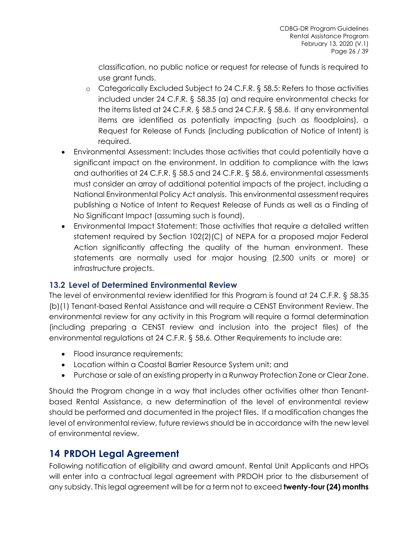classification, no public notice or request for release of funds is required to use grant funds.

- o Categorically Excluded Subject to 24 C.F.R. § 58.5: Refers to those activities included under 24 C.F.R. § 58.35 (a) and require environmental checks for the items listed at 24 C.F.R. § 58.5 and 24 C.F.R. § 58.6. If any environmental items are identified as potentially impacting (such as floodplains), a Request for Release of Funds (including publication of Notice of Intent) is required.
- Environmental Assessment: Includes those activities that could potentially have a significant impact on the environment. In addition to compliance with the laws and authorities at 24 C.F.R. § 58.5 and 24 C.F.R. § 58.6, environmental assessments must consider an array of additional potential impacts of the project, including a National Environmental Policy Act analysis. This environmental assessment requires publishing a Notice of Intent to Request Release of Funds as well as a Finding of No Significant Impact (assuming such is found).
- Environmental Impact Statement: Those activities that require a detailed written statement required by Section 102(2)(C) of NEPA for a proposed major Federal Action significantly affecting the quality of the human environment. These statements are normally used for major housing (2,500 units or more) or infrastructure projects.

#### <span id="page-25-0"></span>**13.2 Level of Determined Environmental Review**

The level of environmental review identified for this Program is found at 24 C.F.R. § 58.35 (b)(1) Tenant-based Rental Assistance and will require a CENST Environment Review. The environmental review for any activity in this Program will require a formal determination (including preparing a CENST review and inclusion into the project files) of the environmental regulations at 24 C.F.R. § 58.6. Other Requirements to include are:

- Flood insurance requirements;
- Location within a Coastal Barrier Resource System unit; and
- Purchase or sale of an existing property in a Runway Protection Zone or Clear Zone.

Should the Program change in a way that includes other activities other than Tenantbased Rental Assistance, a new determination of the level of environmental review should be performed and documented in the project files. If a modification changes the level of environmental review, future reviews should be in accordance with the new level of environmental review.

## <span id="page-25-1"></span>**14 PRDOH Legal Agreement**

Following notification of eligibility and award amount, Rental Unit Applicants and HPOs will enter into a contractual legal agreement with PRDOH prior to the disbursement of any subsidy. This legal agreement will be for a term not to exceed **twenty-four (24) months**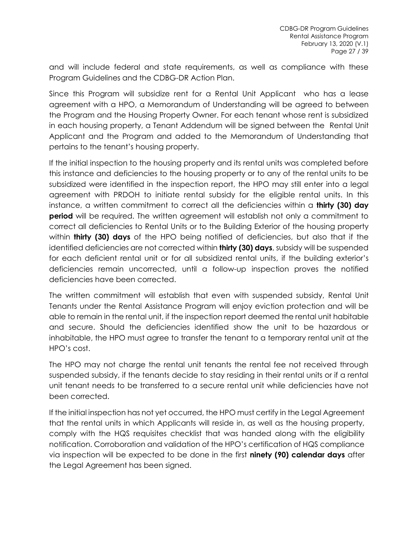and will include federal and state requirements, as well as compliance with these Program Guidelines and the CDBG-DR Action Plan.

Since this Program will subsidize rent for a Rental Unit Applicant who has a lease agreement with a HPO, a Memorandum of Understanding will be agreed to between the Program and the Housing Property Owner. For each tenant whose rent is subsidized in each housing property, a Tenant Addendum will be signed between the Rental Unit Applicant and the Program and added to the Memorandum of Understanding that pertains to the tenant's housing property.

If the initial inspection to the housing property and its rental units was completed before this instance and deficiencies to the housing property or to any of the rental units to be subsidized were identified in the inspection report, the HPO may still enter into a legal agreement with PRDOH to initiate rental subsidy for the eligible rental units. In this instance, a written commitment to correct all the deficiencies within a **thirty (30) day period** will be required. The written agreement will establish not only a commitment to correct all deficiencies to Rental Units or to the Building Exterior of the housing property within **thirty (30) days** of the HPO being notified of deficiencies, but also that if the identified deficiencies are not corrected within **thirty (30) days**, subsidy will be suspended for each deficient rental unit or for all subsidized rental units, if the building exterior's deficiencies remain uncorrected, until a follow-up inspection proves the notified deficiencies have been corrected.

The written commitment will establish that even with suspended subsidy, Rental Unit Tenants under the Rental Assistance Program will enjoy eviction protection and will be able to remain in the rental unit, if the inspection report deemed the rental unit habitable and secure. Should the deficiencies identified show the unit to be hazardous or inhabitable, the HPO must agree to transfer the tenant to a temporary rental unit at the HPO's cost.

The HPO may not charge the rental unit tenants the rental fee not received through suspended subsidy, if the tenants decide to stay residing in their rental units or if a rental unit tenant needs to be transferred to a secure rental unit while deficiencies have not been corrected.

If the initial inspection has not yet occurred, the HPO must certify in the Legal Agreement that the rental units in which Applicants will reside in, as well as the housing property, comply with the HQS requisites checklist that was handed along with the eligibility notification. Corroboration and validation of the HPO's certification of HQS compliance via inspection will be expected to be done in the first **ninety (90) calendar days** after the Legal Agreement has been signed.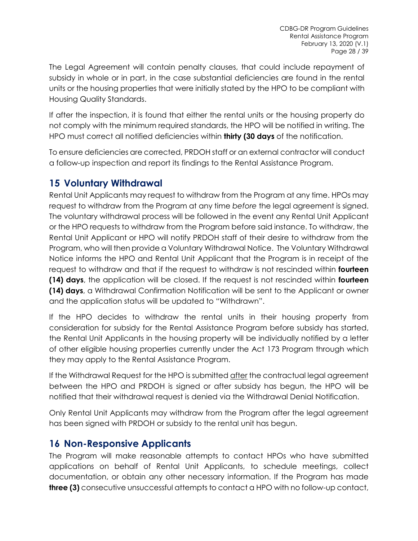The Legal Agreement will contain penalty clauses, that could include repayment of subsidy in whole or in part, in the case substantial deficiencies are found in the rental units or the housing properties that were initially stated by the HPO to be compliant with Housing Quality Standards.

If after the inspection, it is found that either the rental units or the housing property do not comply with the minimum required standards, the HPO will be notified in writing. The HPO must correct all notified deficiencies within **thirty (30 days** of the notification.

To ensure deficiencies are corrected, PRDOH staff or an external contractor will conduct a follow-up inspection and report its findings to the Rental Assistance Program.

## <span id="page-27-0"></span>**15 Voluntary Withdrawal**

Rental Unit Applicants may request to withdraw from the Program at any time. HPOs may request to withdraw from the Program at any time *before* the legal agreement is signed. The voluntary withdrawal process will be followed in the event any Rental Unit Applicant or the HPO requests to withdraw from the Program before said instance. To withdraw, the Rental Unit Applicant or HPO will notify PRDOH staff of their desire to withdraw from the Program, who will then provide a Voluntary Withdrawal Notice. The Voluntary Withdrawal Notice informs the HPO and Rental Unit Applicant that the Program is in receipt of the request to withdraw and that if the request to withdraw is not rescinded within **fourteen (14) days**, the application will be closed. If the request is not rescinded within **fourteen (14) days**, a Withdrawal Confirmation Notification will be sent to the Applicant or owner and the application status will be updated to "Withdrawn".

If the HPO decides to withdraw the rental units in their housing property from consideration for subsidy for the Rental Assistance Program before subsidy has started, the Rental Unit Applicants in the housing property will be individually notified by a letter of other eligible housing properties currently under the Act 173 Program through which they may apply to the Rental Assistance Program.

If the Withdrawal Request for the HPO is submitted after the contractual legal agreement between the HPO and PRDOH is signed or after subsidy has begun, the HPO will be notified that their withdrawal request is denied via the Withdrawal Denial Notification.

Only Rental Unit Applicants may withdraw from the Program after the legal agreement has been signed with PRDOH or subsidy to the rental unit has begun.

## <span id="page-27-1"></span>**16 Non-Responsive Applicants**

The Program will make reasonable attempts to contact HPOs who have submitted applications on behalf of Rental Unit Applicants, to schedule meetings, collect documentation, or obtain any other necessary information. If the Program has made **three (3)** consecutive unsuccessful attempts to contact a HPO with no follow-up contact,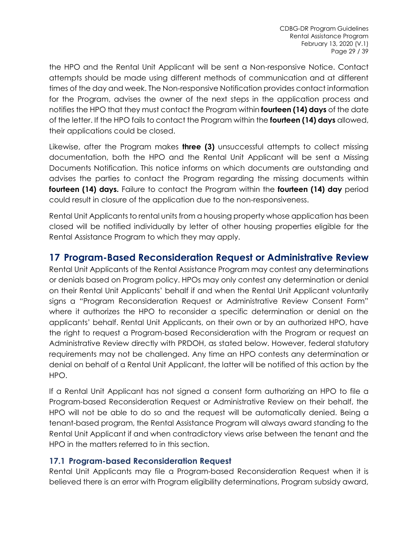the HPO and the Rental Unit Applicant will be sent a Non-responsive Notice. Contact attempts should be made using different methods of communication and at different times of the day and week. The Non-responsive Notification provides contact information for the Program, advises the owner of the next steps in the application process and notifies the HPO that they must contact the Program within **fourteen (14) days** of the date of the letter. If the HPO fails to contact the Program within the **fourteen (14) days** allowed, their applications could be closed.

Likewise, after the Program makes **three (3)** unsuccessful attempts to collect missing documentation, both the HPO and the Rental Unit Applicant will be sent a Missing Documents Notification. This notice informs on which documents are outstanding and advises the parties to contact the Program regarding the missing documents within **fourteen (14) days.** Failure to contact the Program within the **fourteen (14) day** period could result in closure of the application due to the non-responsiveness.

Rental Unit Applicants to rental units from a housing property whose application has been closed will be notified individually by letter of other housing properties eligible for the Rental Assistance Program to which they may apply.

## <span id="page-28-0"></span>**17 Program-Based Reconsideration Request or Administrative Review**

Rental Unit Applicants of the Rental Assistance Program may contest any determinations or denials based on Program policy. HPOs may only contest any determination or denial on their Rental Unit Applicants' behalf if and when the Rental Unit Applicant voluntarily signs a "Program Reconsideration Request or Administrative Review Consent Form" where it authorizes the HPO to reconsider a specific determination or denial on the applicants' behalf. Rental Unit Applicants, on their own or by an authorized HPO, have the right to request a Program-based Reconsideration with the Program or request an Administrative Review directly with PRDOH, as stated below. However, federal statutory requirements may not be challenged. Any time an HPO contests any determination or denial on behalf of a Rental Unit Applicant, the latter will be notified of this action by the HPO.

If a Rental Unit Applicant has not signed a consent form authorizing an HPO to file a Program-based Reconsideration Request or Administrative Review on their behalf, the HPO will not be able to do so and the request will be automatically denied. Being a tenant-based program, the Rental Assistance Program will always award standing to the Rental Unit Applicant if and when contradictory views arise between the tenant and the HPO in the matters referred to in this section.

#### <span id="page-28-1"></span>**17.1 Program-based Reconsideration Request**

Rental Unit Applicants may file a Program-based Reconsideration Request when it is believed there is an error with Program eligibility determinations, Program subsidy award,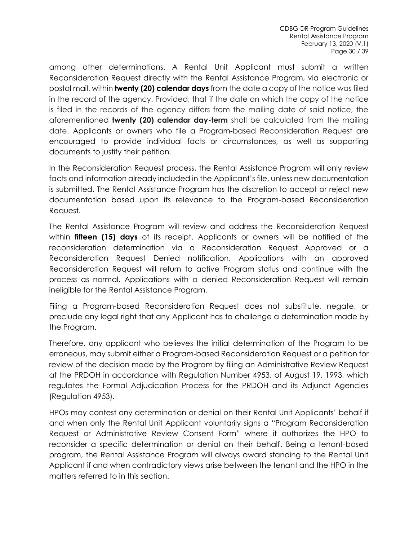among other determinations. A Rental Unit Applicant must submit a written Reconsideration Request directly with the Rental Assistance Program, via electronic or postal mail, within **twenty (20) calendar days** from the date a copy of the notice was filed in the record of the agency. Provided, that if the date on which the copy of the notice is filed in the records of the agency differs from the mailing date of said notice, the aforementioned **twenty (20) calendar day-term** shall be calculated from the mailing date. Applicants or owners who file a Program-based Reconsideration Request are encouraged to provide individual facts or circumstances, as well as supporting documents to justify their petition.

In the Reconsideration Request process, the Rental Assistance Program will only review facts and information already included in the Applicant's file, unless new documentation is submitted. The Rental Assistance Program has the discretion to accept or reject new documentation based upon its relevance to the Program-based Reconsideration Request.

The Rental Assistance Program will review and address the Reconsideration Request within **fifteen (15) days** of its receipt. Applicants or owners will be notified of the reconsideration determination via a Reconsideration Request Approved or a Reconsideration Request Denied notification. Applications with an approved Reconsideration Request will return to active Program status and continue with the process as normal. Applications with a denied Reconsideration Request will remain ineligible for the Rental Assistance Program.

Filing a Program-based Reconsideration Request does not substitute, negate, or preclude any legal right that any Applicant has to challenge a determination made by the Program.

Therefore, any applicant who believes the initial determination of the Program to be erroneous, may submit either a Program-based Reconsideration Request or a petition for review of the decision made by the Program by filing an Administrative Review Request at the PRDOH in accordance with Regulation Number 4953, of August 19, 1993, which regulates the Formal Adjudication Process for the PRDOH and its Adjunct Agencies (Regulation 4953).

HPOs may contest any determination or denial on their Rental Unit Applicants' behalf if and when only the Rental Unit Applicant voluntarily signs a "Program Reconsideration Request or Administrative Review Consent Form" where it authorizes the HPO to reconsider a specific determination or denial on their behalf. Being a tenant-based program, the Rental Assistance Program will always award standing to the Rental Unit Applicant if and when contradictory views arise between the tenant and the HPO in the matters referred to in this section.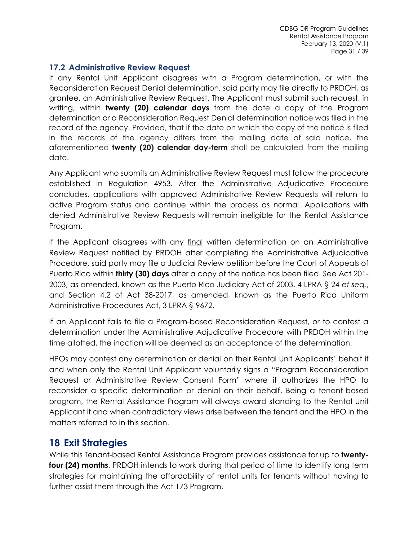#### <span id="page-30-0"></span>**17.2 Administrative Review Request**

If any Rental Unit Applicant disagrees with a Program determination, or with the Reconsideration Request Denial determination, said party may file directly to PRDOH, as grantee, an Administrative Review Request. The Applicant must submit such request, in writing, within **twenty (20) calendar days** from the date a copy of the Program determination or a Reconsideration Request Denial determination notice was filed in the record of the agency. Provided, that if the date on which the copy of the notice is filed in the records of the agency differs from the mailing date of said notice, the aforementioned **twenty (20) calendar day-term** shall be calculated from the mailing date.

Any Applicant who submits an Administrative Review Request must follow the procedure established in Regulation 4953. After the Administrative Adjudicative Procedure concludes, applications with approved Administrative Review Requests will return to active Program status and continue within the process as normal. Applications with denied Administrative Review Requests will remain ineligible for the Rental Assistance Program.

If the Applicant disagrees with any final written determination on an Administrative Review Request notified by PRDOH after completing the Administrative Adjudicative Procedure, said party may file a Judicial Review petition before the Court of Appeals of Puerto Rico within **thirty (30) days** after a copy of the notice has been filed. See Act 201- 2003, as amended, known as the Puerto Rico Judiciary Act of 2003, 4 LPRA § 24 *et seq.*, and Section 4.2 of Act 38-2017, as amended, known as the Puerto Rico Uniform Administrative Procedures Act, 3 LPRA § 9672.

If an Applicant fails to file a Program-based Reconsideration Request, or to contest a determination under the Administrative Adjudicative Procedure with PRDOH within the time allotted, the inaction will be deemed as an acceptance of the determination.

HPOs may contest any determination or denial on their Rental Unit Applicants' behalf if and when only the Rental Unit Applicant voluntarily signs a "Program Reconsideration Request or Administrative Review Consent Form" where it authorizes the HPO to reconsider a specific determination or denial on their behalf. Being a tenant-based program, the Rental Assistance Program will always award standing to the Rental Unit Applicant if and when contradictory views arise between the tenant and the HPO in the matters referred to in this section.

#### <span id="page-30-1"></span>**18 Exit Strategies**

While this Tenant-based Rental Assistance Program provides assistance for up to **twentyfour (24) months**, PRDOH intends to work during that period of time to identify long term strategies for maintaining the affordability of rental units for tenants without having to further assist them through the Act 173 Program.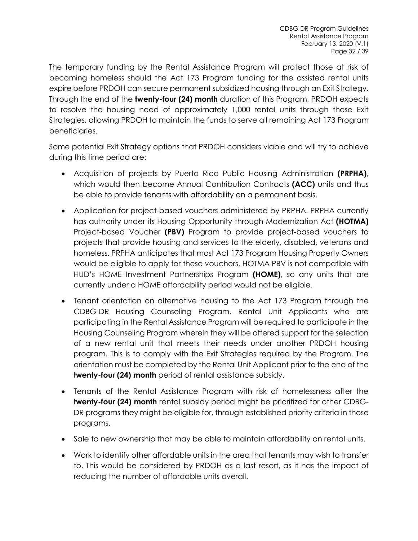The temporary funding by the Rental Assistance Program will protect those at risk of becoming homeless should the Act 173 Program funding for the assisted rental units expire before PRDOH can secure permanent subsidized housing through an Exit Strategy. Through the end of the **twenty-four (24) month** duration of this Program, PRDOH expects to resolve the housing need of approximately 1,000 rental units through these Exit Strategies, allowing PRDOH to maintain the funds to serve all remaining Act 173 Program beneficiaries.

Some potential Exit Strategy options that PRDOH considers viable and will try to achieve during this time period are:

- Acquisition of projects by Puerto Rico Public Housing Administration **(PRPHA)**, which would then become Annual Contribution Contracts **(ACC)** units and thus be able to provide tenants with affordability on a permanent basis.
- Application for project-based vouchers administered by PRPHA. PRPHA currently has authority under its Housing Opportunity through Modernization Act **(HOTMA)** Project-based Voucher **(PBV)** Program to provide project-based vouchers to projects that provide housing and services to the elderly, disabled, veterans and homeless. PRPHA anticipates that most Act 173 Program Housing Property Owners would be eligible to apply for these vouchers. HOTMA PBV is not compatible with HUD's HOME Investment Partnerships Program **(HOME)**, so any units that are currently under a HOME affordability period would not be eligible.
- Tenant orientation on alternative housing to the Act 173 Program through the CDBG-DR Housing Counseling Program. Rental Unit Applicants who are participating in the Rental Assistance Program will be required to participate in the Housing Counseling Program wherein they will be offered support for the selection of a new rental unit that meets their needs under another PRDOH housing program. This is to comply with the Exit Strategies required by the Program. The orientation must be completed by the Rental Unit Applicant prior to the end of the **twenty-four (24) month** period of rental assistance subsidy.
- Tenants of the Rental Assistance Program with risk of homelessness after the **twenty-four (24) month** rental subsidy period might be prioritized for other CDBG-DR programs they might be eligible for, through established priority criteria in those programs.
- Sale to new ownership that may be able to maintain affordability on rental units.
- Work to identify other affordable units in the area that tenants may wish to transfer to. This would be considered by PRDOH as a last resort, as it has the impact of reducing the number of affordable units overall.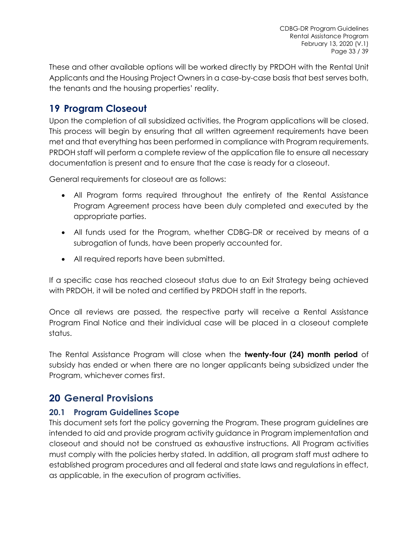These and other available options will be worked directly by PRDOH with the Rental Unit Applicants and the Housing Project Owners in a case-by-case basis that best serves both, the tenants and the housing properties' reality.

## <span id="page-32-0"></span>**19 Program Closeout**

Upon the completion of all subsidized activities, the Program applications will be closed. This process will begin by ensuring that all written agreement requirements have been met and that everything has been performed in compliance with Program requirements. PRDOH staff will perform a complete review of the application file to ensure all necessary documentation is present and to ensure that the case is ready for a closeout.

General requirements for closeout are as follows:

- All Program forms required throughout the entirety of the Rental Assistance Program Agreement process have been duly completed and executed by the appropriate parties.
- All funds used for the Program, whether CDBG-DR or received by means of a subrogation of funds, have been properly accounted for.
- All required reports have been submitted.

If a specific case has reached closeout status due to an Exit Strategy being achieved with PRDOH, it will be noted and certified by PRDOH staff in the reports.

Once all reviews are passed, the respective party will receive a Rental Assistance Program Final Notice and their individual case will be placed in a closeout complete status.

The Rental Assistance Program will close when the **twenty-four (24) month period** of subsidy has ended or when there are no longer applicants being subsidized under the Program, whichever comes first.

## <span id="page-32-1"></span>**20 General Provisions**

#### <span id="page-32-2"></span>**20.1 Program Guidelines Scope**

This document sets fort the policy governing the Program. These program guidelines are intended to aid and provide program activity guidance in Program implementation and closeout and should not be construed as exhaustive instructions. All Program activities must comply with the policies herby stated. In addition, all program staff must adhere to established program procedures and all federal and state laws and regulations in effect, as applicable, in the execution of program activities.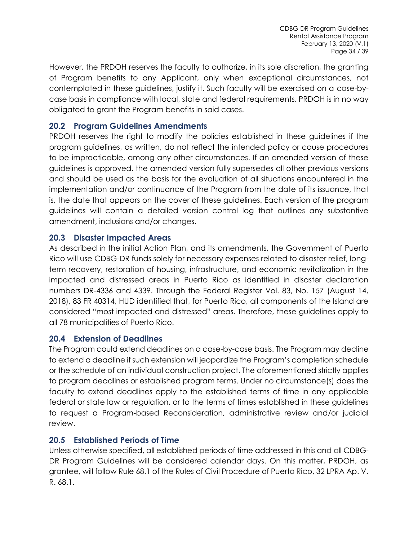However, the PRDOH reserves the faculty to authorize, in its sole discretion, the granting of Program benefits to any Applicant, only when exceptional circumstances, not contemplated in these guidelines, justify it. Such faculty will be exercised on a case-bycase basis in compliance with local, state and federal requirements. PRDOH is in no way obligated to grant the Program benefits in said cases.

#### <span id="page-33-0"></span>**20.2 Program Guidelines Amendments**

PRDOH reserves the right to modify the policies established in these guidelines if the program guidelines, as written, do not reflect the intended policy or cause procedures to be impracticable, among any other circumstances. If an amended version of these guidelines is approved, the amended version fully supersedes all other previous versions and should be used as the basis for the evaluation of all situations encountered in the implementation and/or continuance of the Program from the date of its issuance, that is, the date that appears on the cover of these guidelines. Each version of the program guidelines will contain a detailed version control log that outlines any substantive amendment, inclusions and/or changes.

#### <span id="page-33-1"></span>**20.3 Disaster Impacted Areas**

As described in the initial Action Plan, and its amendments, the Government of Puerto Rico will use CDBG-DR funds solely for necessary expenses related to disaster relief, longterm recovery, restoration of housing, infrastructure, and economic revitalization in the impacted and distressed areas in Puerto Rico as identified in disaster declaration numbers DR-4336 and 4339. Through the Federal Register Vol. 83, No. 157 (August 14, 2018), 83 FR 40314, HUD identified that, for Puerto Rico, all components of the Island are considered "most impacted and distressed" areas. Therefore, these guidelines apply to all 78 municipalities of Puerto Rico.

#### <span id="page-33-2"></span>**20.4 Extension of Deadlines**

The Program could extend deadlines on a case-by-case basis. The Program may decline to extend a deadline if such extension will jeopardize the Program's completion schedule or the schedule of an individual construction project. The aforementioned strictly applies to program deadlines or established program terms. Under no circumstance(s) does the faculty to extend deadlines apply to the established terms of time in any applicable federal or state law or regulation, or to the terms of times established in these guidelines to request a Program-based Reconsideration, administrative review and/or judicial review.

#### <span id="page-33-3"></span>**20.5 Established Periods of Time**

Unless otherwise specified, all established periods of time addressed in this and all CDBG-DR Program Guidelines will be considered calendar days. On this matter, PRDOH, as grantee, will follow Rule 68.1 of the Rules of Civil Procedure of Puerto Rico, 32 LPRA Ap. V, R. 68.1.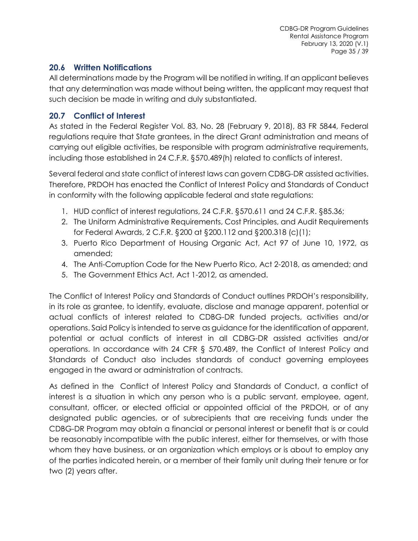#### <span id="page-34-0"></span>**20.6 Written Notifications**

All determinations made by the Program will be notified in writing. If an applicant believes that any determination was made without being written, the applicant may request that such decision be made in writing and duly substantiated.

#### <span id="page-34-1"></span>**20.7 Conflict of Interest**

As stated in the Federal Register Vol. 83, No. 28 (February 9, 2018), 83 FR 5844, Federal regulations require that State grantees, in the direct Grant administration and means of carrying out eligible activities, be responsible with program administrative requirements, including those established in 24 C.F.R. §570.489(h) related to conflicts of interest.

Several federal and state conflict of interest laws can govern CDBG-DR assisted activities. Therefore, PRDOH has enacted the Conflict of Interest Policy and Standards of Conduct in conformity with the following applicable federal and state regulations:

- 1. HUD conflict of interest regulations, 24 C.F.R. §570.611 and 24 C.F.R. §85.36;
- 2. The Uniform Administrative Requirements, Cost Principles, and Audit Requirements for Federal Awards, 2 C.F.R. §200 at §200.112 and §200.318 (c)(1);
- 3. Puerto Rico Department of Housing Organic Act, Act 97 of June 10, 1972, as amended;
- 4. The Anti-Corruption Code for the New Puerto Rico, Act 2-2018, as amended; and
- 5. The Government Ethics Act, Act 1-2012, as amended.

The Conflict of Interest Policy and Standards of Conduct outlines PRDOH's responsibility, in its role as grantee, to identify, evaluate, disclose and manage apparent, potential or actual conflicts of interest related to CDBG-DR funded projects, activities and/or operations. Said Policy is intended to serve as guidance for the identification of apparent, potential or actual conflicts of interest in all CDBG-DR assisted activities and/or operations. In accordance with 24 CFR § 570.489, the Conflict of Interest Policy and Standards of Conduct also includes standards of conduct governing employees engaged in the award or administration of contracts.

As defined in the Conflict of Interest Policy and Standards of Conduct, a conflict of interest is a situation in which any person who is a public servant, employee, agent, consultant, officer, or elected official or appointed official of the PRDOH, or of any designated public agencies, or of subrecipients that are receiving funds under the CDBG-DR Program may obtain a financial or personal interest or benefit that is or could be reasonably incompatible with the public interest, either for themselves, or with those whom they have business, or an organization which employs or is about to employ any of the parties indicated herein, or a member of their family unit during their tenure or for two (2) years after.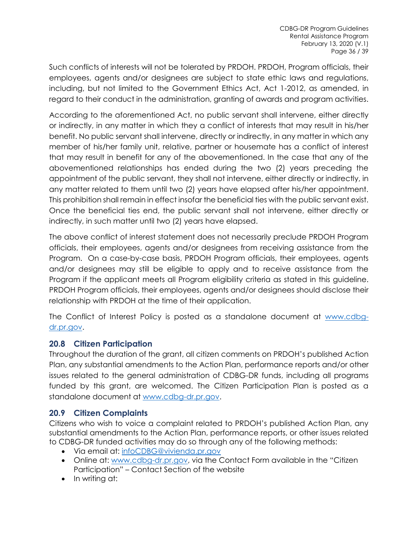Such conflicts of interests will not be tolerated by PRDOH. PRDOH, Program officials, their employees, agents and/or designees are subject to state ethic laws and regulations, including, but not limited to the Government Ethics Act, Act 1-2012, as amended, in regard to their conduct in the administration, granting of awards and program activities.

According to the aforementioned Act, no public servant shall intervene, either directly or indirectly, in any matter in which they a conflict of interests that may result in his/her benefit. No public servant shall intervene, directly or indirectly, in any matter in which any member of his/her family unit, relative, partner or housemate has a conflict of interest that may result in benefit for any of the abovementioned. In the case that any of the abovementioned relationships has ended during the two (2) years preceding the appointment of the public servant, they shall not intervene, either directly or indirectly, in any matter related to them until two (2) years have elapsed after his/her appointment. This prohibition shall remain in effect insofar the beneficial ties with the public servant exist. Once the beneficial ties end, the public servant shall not intervene, either directly or indirectly, in such matter until two (2) years have elapsed.

The above conflict of interest statement does not necessarily preclude PRDOH Program officials, their employees, agents and/or designees from receiving assistance from the Program. On a case-by-case basis, PRDOH Program officials, their employees, agents and/or designees may still be eligible to apply and to receive assistance from the Program if the applicant meets all Program eligibility criteria as stated in this guideline. PRDOH Program officials, their employees, agents and/or designees should disclose their relationship with PRDOH at the time of their application.

The Conflict of Interest Policy is posted as a standalone document at [www.cdbg](http://www.cdbg-dr.pr.gov/)[dr.pr.gov.](http://www.cdbg-dr.pr.gov/)

#### <span id="page-35-0"></span>**20.8 Citizen Participation**

Throughout the duration of the grant, all citizen comments on PRDOH's published Action Plan, any substantial amendments to the Action Plan, performance reports and/or other issues related to the general administration of CDBG-DR funds, including all programs funded by this grant, are welcomed. The Citizen Participation Plan is posted as a standalone document at [www.cdbg-dr.pr.gov.](http://www.cdbg-dr.pr.gov/)

#### <span id="page-35-1"></span>**20.9 Citizen Complaints**

Citizens who wish to voice a complaint related to PRDOH's published Action Plan, any substantial amendments to the Action Plan, performance reports, or other issues related to CDBG-DR funded activities may do so through any of the following methods:

- Via email at: [infoCDBG@vivienda.pr.gov](mailto:infoCDBG@vivienda.pr.gov)
- Online at: [www.cdbg-dr.pr.gov](http://www.cdbg-dr.pr.gov/), via the Contact Form available in the "Citizen Participation" – Contact Section of the website
- In writing at: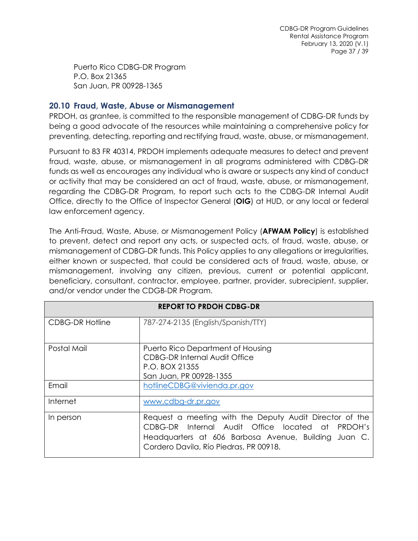Puerto Rico CDBG-DR Program P.O. Box 21365 San Juan, PR 00928-1365

#### <span id="page-36-0"></span>**20.10 Fraud, Waste, Abuse or Mismanagement**

PRDOH, as grantee, is committed to the responsible management of CDBG-DR funds by being a good advocate of the resources while maintaining a comprehensive policy for preventing, detecting, reporting and rectifying fraud, waste, abuse, or mismanagement.

Pursuant to 83 FR 40314, PRDOH implements adequate measures to detect and prevent fraud, waste, abuse, or mismanagement in all programs administered with CDBG-DR funds as well as encourages any individual who is aware or suspects any kind of conduct or activity that may be considered an act of fraud, waste, abuse, or mismanagement, regarding the CDBG-DR Program, to report such acts to the CDBG-DR Internal Audit Office, directly to the Office of Inspector General (**OIG**) at HUD, or any local or federal law enforcement agency.

The Anti-Fraud, Waste, Abuse, or Mismanagement Policy (**AFWAM Policy**) is established to prevent, detect and report any acts, or suspected acts, of fraud, waste, abuse, or mismanagement of CDBG-DR funds. This Policy applies to any allegations or irregularities, either known or suspected, that could be considered acts of fraud, waste, abuse, or mismanagement, involving any citizen, previous, current or potential applicant, beneficiary, consultant, contractor, employee, partner, provider, subrecipient, supplier, and/or vendor under the CDGB-DR Program.

| <b>REPORT TO PRDOH CDBG-DR</b> |                                                                                                                                                                                                               |  |  |
|--------------------------------|---------------------------------------------------------------------------------------------------------------------------------------------------------------------------------------------------------------|--|--|
| <b>CDBG-DR Hotline</b>         | 787-274-2135 (English/Spanish/TTY)                                                                                                                                                                            |  |  |
| Postal Mail                    | Puerto Rico Department of Housing<br><b>CDBG-DR Internal Audit Office</b><br>P.O. BOX 21355<br>San Juan, PR 00928-1355                                                                                        |  |  |
| Email                          | hotlineCDBG@vivienda.pr.gov                                                                                                                                                                                   |  |  |
| Internet                       | www.cdbg-dr.pr.gov                                                                                                                                                                                            |  |  |
| In person                      | Request a meeting with the Deputy Audit Director of the<br>CDBG-DR Internal Audit Office located at PRDOH's<br>Headquarters at 606 Barbosa Avenue, Building Juan C.<br>Cordero Davila, Río Piedras, PR 00918. |  |  |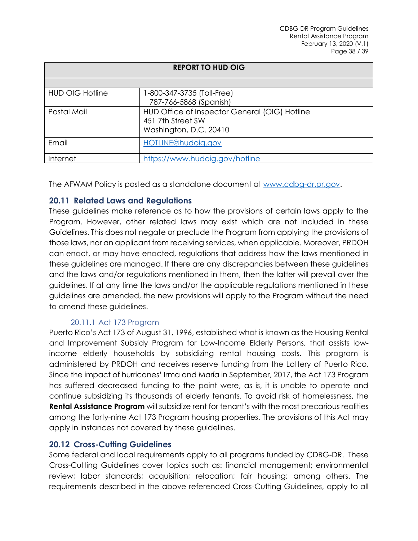| <b>REPORT TO HUD OIG</b> |                                               |  |
|--------------------------|-----------------------------------------------|--|
|                          |                                               |  |
| <b>HUD OIG Hotline</b>   | 1-800-347-3735 (Toll-Free)                    |  |
|                          | 787-766-5868 (Spanish)                        |  |
| Postal Mail              | HUD Office of Inspector General (OIG) Hotline |  |
|                          | 451 7th Street SW                             |  |
|                          | Washington, D.C. 20410                        |  |
| Email                    | HOTLINE@hudoig.gov                            |  |
| Internet                 | https://www.hudoig.gov/hotline                |  |

The AFWAM Policy is posted as a standalone document at [www.cdbg-dr.pr.gov.](http://www.cdbg-dr.pr.gov/)

#### <span id="page-37-0"></span>**20.11 Related Laws and Regulations**

These guidelines make reference as to how the provisions of certain laws apply to the Program. However, other related laws may exist which are not included in these Guidelines. This does not negate or preclude the Program from applying the provisions of those laws, nor an applicant from receiving services, when applicable. Moreover, PRDOH can enact, or may have enacted, regulations that address how the laws mentioned in these guidelines are managed. If there are any discrepancies between these guidelines and the laws and/or regulations mentioned in them, then the latter will prevail over the guidelines. If at any time the laws and/or the applicable regulations mentioned in these guidelines are amended, the new provisions will apply to the Program without the need to amend these guidelines.

#### 20.11.1 Act 173 Program

<span id="page-37-1"></span>Puerto Rico's Act 173 of August 31, 1996, established what is known as the Housing Rental and Improvement Subsidy Program for Low-Income Elderly Persons, that assists lowincome elderly households by subsidizing rental housing costs. This program is administered by PRDOH and receives reserve funding from the Lottery of Puerto Rico. Since the impact of hurricanes' Irma and María in September, 2017, the Act 173 Program has suffered decreased funding to the point were, as is, it is unable to operate and continue subsidizing its thousands of elderly tenants. To avoid risk of homelessness, the **Rental Assistance Program** will subsidize rent for tenant's with the most precarious realities among the forty-nine Act 173 Program housing properties. The provisions of this Act may apply in instances not covered by these guidelines.

#### <span id="page-37-2"></span>**20.12 Cross-Cutting Guidelines**

Some federal and local requirements apply to all programs funded by CDBG-DR. These Cross-Cutting Guidelines cover topics such as: financial management; environmental review; labor standards; acquisition; relocation; fair housing; among others. The requirements described in the above referenced Cross-Cutting Guidelines, apply to all